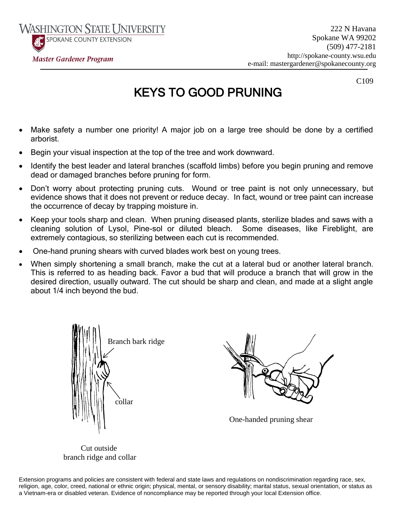SPOKANE COUNTY EXTENSION

222 N Havana Spokane WA 99202 (509) 477-2181 http://spokane-county.wsu.edu e-mail: mastergardener@spokanecounty.org

C109

# KEYS TO GOOD PRUNING

 Make safety a number one priority! A major job on a large tree should be done by a certified arborist.

Ī

- Begin your visual inspection at the top of the tree and work downward.
- Identify the best leader and lateral branches (scaffold limbs) before you begin pruning and remove dead or damaged branches before pruning for form.
- Don't worry about protecting pruning cuts. Wound or tree paint is not only unnecessary, but evidence shows that it does not prevent or reduce decay. In fact, wound or tree paint can increase the occurrence of decay by trapping moisture in.
- Keep your tools sharp and clean. When pruning diseased plants, sterilize blades and saws with a cleaning solution of Lysol, Pine-sol or diluted bleach. Some diseases, like Fireblight, are extremely contagious, so sterilizing between each cut is recommended.
- One-hand pruning shears with curved blades work best on young trees.
- When simply shortening a small branch, make the cut at a lateral bud or another lateral branch. This is referred to as heading back. Favor a bud that will produce a branch that will grow in the desired direction, usually outward. The cut should be sharp and clean, and made at a slight angle about 1/4 inch beyond the bud.





One-handed pruning shear

Cut outside branch ridge and collar

Extension programs and policies are consistent with federal and state laws and regulations on nondiscrimination regarding race, sex, religion, age, color, creed, national or ethnic origin; physical, mental, or sensory disability; marital status, sexual orientation, or status as a Vietnam-era or disabled veteran. Evidence of noncompliance may be reported through your local Extension office.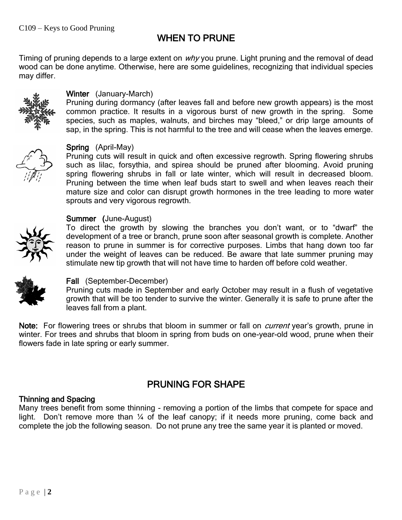# WHEN TO PRUNE

Timing of pruning depends to a large extent on  $why$  you prune. Light pruning and the removal of dead wood can be done anytime. Otherwise, here are some guidelines, recognizing that individual species may differ.



#### Winter (January-March)

Pruning during dormancy (after leaves fall and before new growth appears) is the most common practice. It results in a vigorous burst of new growth in the spring. Some species, such as maples, walnuts, and birches may "bleed," or drip large amounts of sap, in the spring. This is not harmful to the tree and will cease when the leaves emerge.



#### Spring (April-May)

Pruning cuts will result in quick and often excessive regrowth. Spring flowering shrubs such as lilac, forsythia, and spirea should be pruned after blooming. Avoid pruning spring flowering shrubs in fall or late winter, which will result in decreased bloom. Pruning between the time when leaf buds start to swell and when leaves reach their mature size and color can disrupt growth hormones in the tree leading to more water sprouts and very vigorous regrowth.

#### Summer (June-August)

To direct the growth by slowing the branches you don't want, or to "dwarf" the development of a tree or branch, prune soon after seasonal growth is complete. Another reason to prune in summer is for corrective purposes. Limbs that hang down too far under the weight of leaves can be reduced. Be aware that late summer pruning may stimulate new tip growth that will not have time to harden off before cold weather.



### Fall (September-December)

Pruning cuts made in September and early October may result in a flush of vegetative growth that will be too tender to survive the winter. Generally it is safe to prune after the leaves fall from a plant.

Note: For flowering trees or shrubs that bloom in summer or fall on *current* year's growth, prune in winter. For trees and shrubs that bloom in spring from buds on one-year-old wood, prune when their flowers fade in late spring or early summer.

# PRUNING FOR SHAPE

### Thinning and Spacing

Many trees benefit from some thinning - removing a portion of the limbs that compete for space and light. Don't remove more than 1/4 of the leaf canopy; if it needs more pruning, come back and complete the job the following season. Do not prune any tree the same year it is planted or moved.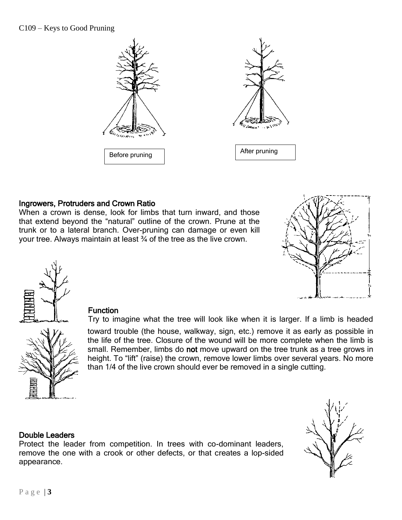

#### Ingrowers, Protruders and Crown Ratio

When a crown is dense, look for limbs that turn inward, and those that extend beyond the "natural" outline of the crown. Prune at the trunk or to a lateral branch. Over-pruning can damage or even kill your tree. Always maintain at least ¾ of the tree as the live crown.





#### **Function**

Try to imagine what the tree will look like when it is larger. If a limb is headed

toward trouble (the house, walkway, sign, etc.) remove it as early as possible in the life of the tree. Closure of the wound will be more complete when the limb is small. Remember, limbs do not move upward on the tree trunk as a tree grows in height. To "lift" (raise) the crown, remove lower limbs over several years. No more than 1/4 of the live crown should ever be removed in a single cutting.

#### Double Leaders

Protect the leader from competition. In trees with co-dominant leaders, remove the one with a crook or other defects, or that creates a lop-sided appearance.

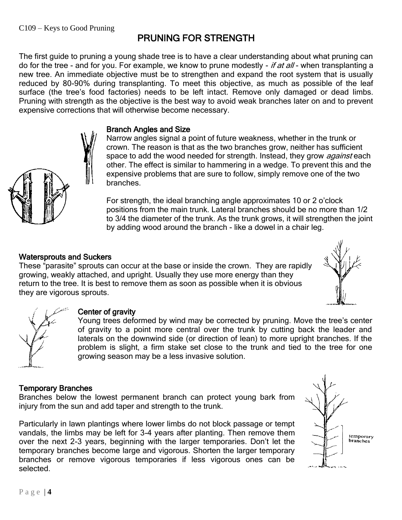## PRUNING FOR STRENGTH

The first guide to pruning a young shade tree is to have a clear understanding about what pruning can do for the tree - and for you. For example, we know to prune modestly - if at all - when transplanting a new tree. An immediate objective must be to strengthen and expand the root system that is usually reduced by 80-90% during transplanting. To meet this objective, as much as possible of the leaf surface (the tree's food factories) needs to be left intact. Remove only damaged or dead limbs. Pruning with strength as the objective is the best way to avoid weak branches later on and to prevent expensive corrections that will otherwise become necessary.

#### Branch Angles and Size

Narrow angles signal a point of future weakness, whether in the trunk or crown. The reason is that as the two branches grow, neither has sufficient space to add the wood needed for strength. Instead, they grow *against* each other. The effect is similar to hammering in a wedge. To prevent this and the expensive problems that are sure to follow, simply remove one of the two branches.

For strength, the ideal branching angle approximates 10 or 2 o'clock positions from the main trunk. Lateral branches should be no more than 1/2 to 3/4 the diameter of the trunk. As the trunk grows, it will strengthen the joint by adding wood around the branch - like a dowel in a chair leg.

#### Watersprouts and Suckers

These "parasite" sprouts can occur at the base or inside the crown. They are rapidly growing, weakly attached, and upright. Usually they use more energy than they return to the tree. It is best to remove them as soon as possible when it is obvious they are vigorous sprouts.





#### Center of gravity

Young trees deformed by wind may be corrected by pruning. Move the tree's center of gravity to a point more central over the trunk by cutting back the leader and laterals on the downwind side (or direction of lean) to more upright branches. If the problem is slight, a firm stake set close to the trunk and tied to the tree for one growing season may be a less invasive solution.

#### Temporary Branches

Branches below the lowest permanent branch can protect young bark from injury from the sun and add taper and strength to the trunk.

Particularly in lawn plantings where lower limbs do not block passage or tempt vandals, the limbs may be left for 3-4 years after planting. Then remove them over the next 2-3 years, beginning with the larger temporaries. Don't let the temporary branches become large and vigorous. Shorten the larger temporary branches or remove vigorous temporaries if less vigorous ones can be selected.